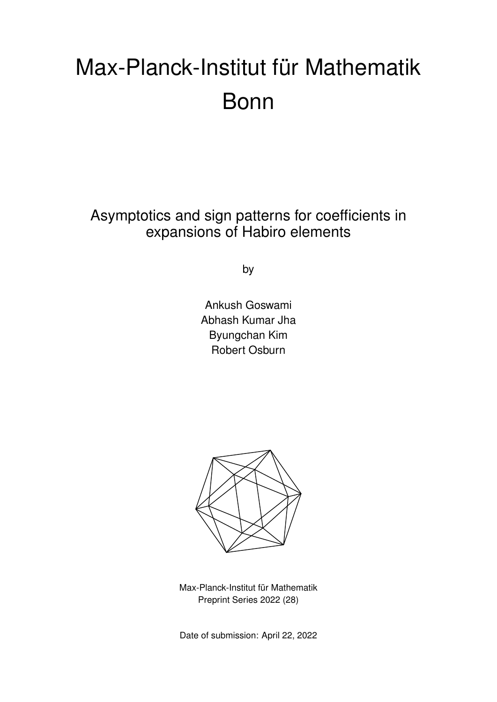# Max-Planck-Institut für Mathematik Bonn

Asymptotics and sign patterns for coefficients in expansions of Habiro elements

by

Ankush Goswami Abhash Kumar Jha Byungchan Kim Robert Osburn



Max-Planck-Institut für Mathematik Preprint Series 2022 (28)

Date of submission: April 22, 2022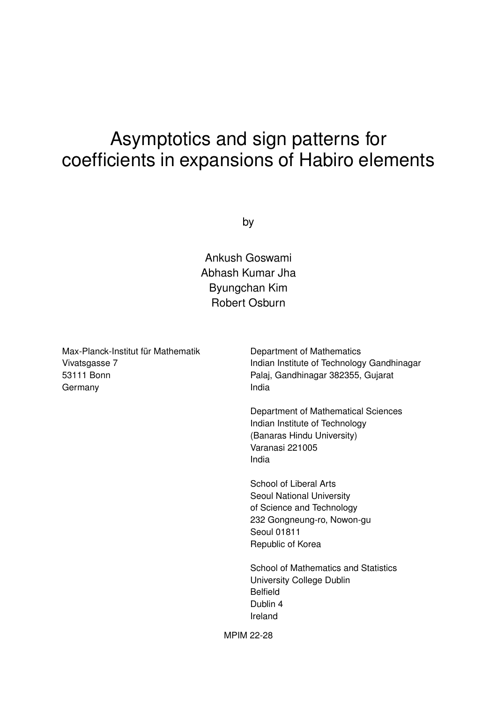# Asymptotics and sign patterns for coefficients in expansions of Habiro elements

by

Ankush Goswami Abhash Kumar Jha Byungchan Kim Robert Osburn

Max-Planck-Institut für Mathematik Vivatsgasse 7 53111 Bonn Germany

Department of Mathematics Indian Institute of Technology Gandhinagar Palaj, Gandhinagar 382355, Gujarat India

Department of Mathematical Sciences Indian Institute of Technology (Banaras Hindu University) Varanasi 221005 India

School of Liberal Arts Seoul National University of Science and Technology 232 Gongneung-ro, Nowon-gu Seoul 01811 Republic of Korea

School of Mathematics and Statistics University College Dublin Belfield Dublin 4 Ireland

MPIM 22-28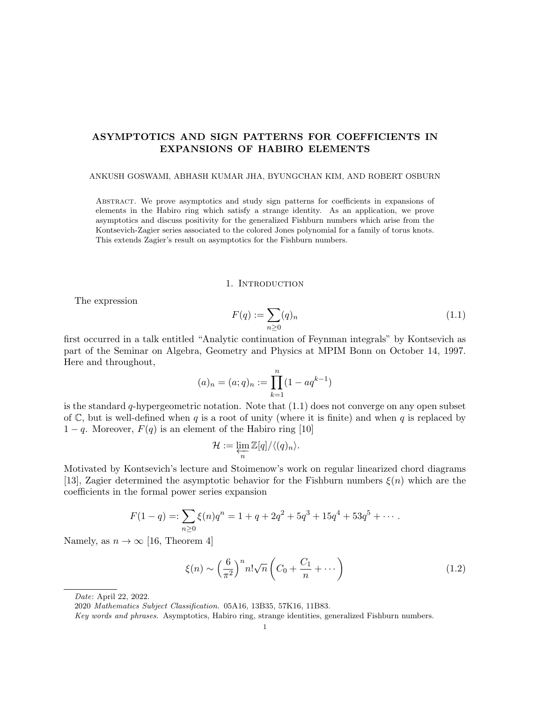# ASYMPTOTICS AND SIGN PATTERNS FOR COEFFICIENTS IN EXPANSIONS OF HABIRO ELEMENTS

#### ANKUSH GOSWAMI, ABHASH KUMAR JHA, BYUNGCHAN KIM, AND ROBERT OSBURN

Abstract. We prove asymptotics and study sign patterns for coefficients in expansions of elements in the Habiro ring which satisfy a strange identity. As an application, we prove asymptotics and discuss positivity for the generalized Fishburn numbers which arise from the Kontsevich-Zagier series associated to the colored Jones polynomial for a family of torus knots. This extends Zagier's result on asymptotics for the Fishburn numbers.

# 1. INTRODUCTION

The expression

$$
F(q) := \sum_{n \ge 0} (q)_n \tag{1.1}
$$

first occurred in a talk entitled "Analytic continuation of Feynman integrals" by Kontsevich as part of the Seminar on Algebra, Geometry and Physics at MPIM Bonn on October 14, 1997. Here and throughout,

$$
(a)_n = (a;q)_n := \prod_{k=1}^n (1 - aq^{k-1})
$$

is the standard  $q$ -hypergeometric notation. Note that  $(1.1)$  does not converge on any open subset of C, but is well-defined when q is a root of unity (where it is finite) and when q is replaced by  $1 - q$ . Moreover,  $F(q)$  is an element of the Habiro ring [10]

$$
\mathcal{H}:=\varprojlim_n \mathbb{Z}[q]/\langle (q)_n\rangle.
$$

Motivated by Kontsevich's lecture and Stoimenow's work on regular linearized chord diagrams [13], Zagier determined the asymptotic behavior for the Fishburn numbers  $\xi(n)$  which are the coefficients in the formal power series expansion

$$
F(1-q) =: \sum_{n\geq 0} \xi(n)q^n = 1 + q + 2q^2 + 5q^3 + 15q^4 + 53q^5 + \cdots
$$

Namely, as  $n \to \infty$  [16, Theorem 4]

$$
\xi(n) \sim \left(\frac{6}{\pi^2}\right)^n n! \sqrt{n} \left(C_0 + \frac{C_1}{n} + \cdots\right)
$$
\n(1.2)

Date: April 22, 2022.

<sup>2020</sup> Mathematics Subject Classification. 05A16, 13B35, 57K16, 11B83.

Key words and phrases. Asymptotics, Habiro ring, strange identities, generalized Fishburn numbers.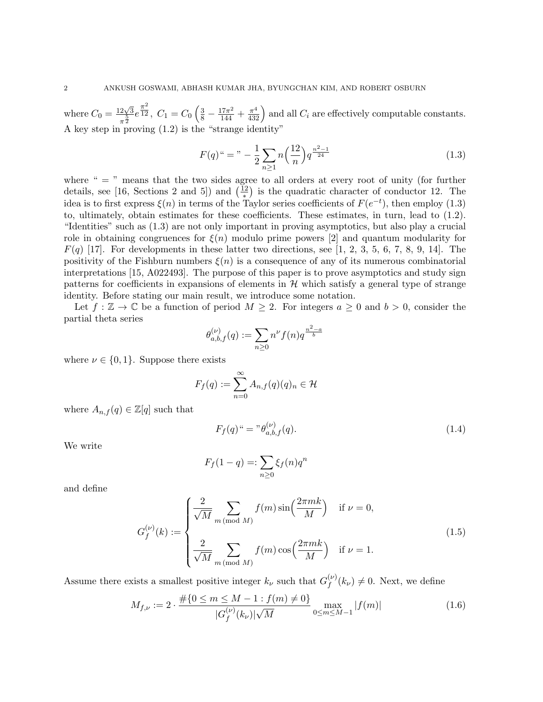where  $C_0 = \frac{12\sqrt{3}}{5}$  $\frac{2\sqrt{3}}{\pi^{\frac{5}{2}}}e^{\frac{\pi^2}{12}}$  $\frac{\pi^2}{12}$ ,  $C_1 = C_0 \left(\frac{3}{8} - \frac{17\pi^2}{144} + \frac{\pi^4}{432}\right)$  and all  $C_i$  are effectively computable constants. A key step in proving (1.2) is the "strange identity"

$$
F(q)^{u} = \sqrt[n]{-\frac{1}{2}\sum_{n\geq 1}n\left(\frac{12}{n}\right)q^{\frac{n^{2}-1}{24}}}
$$
\n(1.3)

where "  $=$  " means that the two sides agree to all orders at every root of unity (for further details, see [16, Sections 2 and 5]) and  $(\frac{12}{\ast})$  is the quadratic character of conductor 12. The idea is to first express  $\xi(n)$  in terms of the Taylor series coefficients of  $F(e^{-t})$ , then employ (1.3) to, ultimately, obtain estimates for these coefficients. These estimates, in turn, lead to (1.2). "Identities" such as (1.3) are not only important in proving asymptotics, but also play a crucial role in obtaining congruences for  $\xi(n)$  modulo prime powers [2] and quantum modularity for  $F(q)$  [17]. For developments in these latter two directions, see [1, 2, 3, 5, 6, 7, 8, 9, 14]. The positivity of the Fishburn numbers  $\xi(n)$  is a consequence of any of its numerous combinatorial interpretations [15, A022493]. The purpose of this paper is to prove asymptotics and study sign patterns for coefficients in expansions of elements in  $H$  which satisfy a general type of strange identity. Before stating our main result, we introduce some notation.

Let  $f : \mathbb{Z} \to \mathbb{C}$  be a function of period  $M \geq 2$ . For integers  $a \geq 0$  and  $b > 0$ , consider the partial theta series

$$
\theta_{a,b,f}^{(\nu)}(q) := \sum_{n \ge 0} n^{\nu} f(n) q^{\frac{n^2 - a}{b}}
$$

where  $\nu \in \{0, 1\}$ . Suppose there exists

$$
F_f(q) := \sum_{n=0}^{\infty} A_{n,f}(q)(q)_n \in \mathcal{H}
$$

where  $A_{n,f}(q) \in \mathbb{Z}[q]$  such that

$$
F_f(q)^{\mu} = \nu \theta_{a,b,f}^{(\nu)}(q). \tag{1.4}
$$

We write

$$
F_f(1-q) =: \sum_{n\geq 0} \xi_f(n)q^n
$$

and define

$$
G_f^{(\nu)}(k) := \begin{cases} \frac{2}{\sqrt{M}} \sum_{m \pmod{M}} f(m) \sin\left(\frac{2\pi mk}{M}\right) & \text{if } \nu = 0, \\ \frac{2}{\sqrt{M}} \sum_{m \pmod{M}} f(m) \cos\left(\frac{2\pi mk}{M}\right) & \text{if } \nu = 1. \end{cases} \tag{1.5}
$$

Assume there exists a smallest positive integer  $k_{\nu}$  such that  $G_f^{(\nu)}$  $f_f^{(\nu)}(k_\nu) \neq 0$ . Next, we define

$$
M_{f,\nu} := 2 \cdot \frac{\#\{0 \le m \le M - 1 : f(m) \ne 0\}}{|G_f^{(\nu)}(k_\nu)| \sqrt{M}} \max_{0 \le m \le M - 1} |f(m)| \tag{1.6}
$$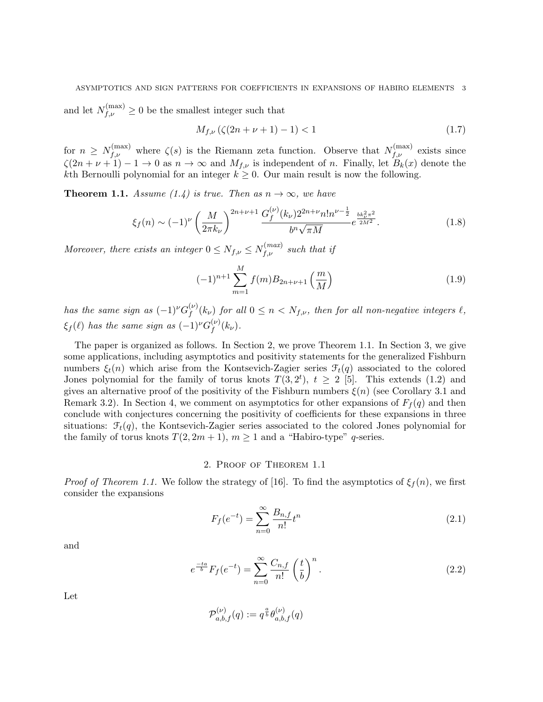# ASYMPTOTICS AND SIGN PATTERNS FOR COEFFICIENTS IN EXPANSIONS OF HABIRO ELEMENTS 3

and let  $N_{f,\nu}^{(\max)} \geq 0$  be the smallest integer such that

$$
M_{f,\nu}\left(\zeta(2n+\nu+1)-1\right) < 1\tag{1.7}
$$

for  $n \geq N_{f,\nu}^{(\text{max})}$  where  $\zeta(s)$  is the Riemann zeta function. Observe that  $N_{f,\nu}^{(\text{max})}$  exists since  $\zeta(2n+\nu+1)-1\to 0$  as  $n\to\infty$  and  $M_{f,\nu}$  is independent of n. Finally, let  $B_k(x)$  denote the kth Bernoulli polynomial for an integer  $k \geq 0$ . Our main result is now the following.

**Theorem 1.1.** Assume (1.4) is true. Then as  $n \to \infty$ , we have

$$
\xi_f(n) \sim (-1)^{\nu} \left(\frac{M}{2\pi k_{\nu}}\right)^{2n+\nu+1} \frac{G_f^{(\nu)}(k_{\nu}) 2^{2n+\nu} n! n^{\nu-\frac{1}{2}}}{b^n \sqrt{\pi M}} e^{\frac{bk_{\nu}^2 \pi^2}{2M^2}}.
$$
\n(1.8)

Moreover, there exists an integer  $0 \le N_{f,\nu} \le N_{f,\nu}^{(max)}$  such that if

$$
(-1)^{n+1} \sum_{m=1}^{M} f(m) B_{2n+\nu+1} \left(\frac{m}{M}\right)
$$
 (1.9)

has the same sign as  $(-1)^{\nu}G_{f}^{(\nu)}$  $f_f^{(\nu)}(k_{\nu})$  for all  $0 \leq n < N_{f,\nu}$ , then for all non-negative integers  $\ell$ ,  $\xi_f(\ell)$  has the same sign as  $(-1)^{\nu}G_f^{(\nu)}$  $f^{\left(\nu\right)}(k_{\nu}).$ 

The paper is organized as follows. In Section 2, we prove Theorem 1.1. In Section 3, we give some applications, including asymptotics and positivity statements for the generalized Fishburn numbers  $\xi_t(n)$  which arise from the Kontsevich-Zagier series  $\mathcal{F}_t(q)$  associated to the colored Jones polynomial for the family of torus knots  $T(3, 2^t)$ ,  $t \geq 2$  [5]. This extends (1.2) and gives an alternative proof of the positivity of the Fishburn numbers  $\xi(n)$  (see Corollary 3.1 and Remark 3.2). In Section 4, we comment on asymptotics for other expansions of  $F_f(q)$  and then conclude with conjectures concerning the positivity of coefficients for these expansions in three situations:  $\mathcal{F}_t(q)$ , the Kontsevich-Zagier series associated to the colored Jones polynomial for the family of torus knots  $T(2, 2m + 1)$ ,  $m \ge 1$  and a "Habiro-type" q-series.

# 2. Proof of Theorem 1.1

*Proof of Theorem 1.1.* We follow the strategy of [16]. To find the asymptotics of  $\xi_f(n)$ , we first consider the expansions

$$
F_f(e^{-t}) = \sum_{n=0}^{\infty} \frac{B_{n,f}}{n!} t^n
$$
\n(2.1)

and

$$
e^{\frac{-ta}{b}}F_f(e^{-t}) = \sum_{n=0}^{\infty} \frac{C_{n,f}}{n!} \left(\frac{t}{b}\right)^n.
$$
 (2.2)

Let

$$
\mathcal{P}_{a,b,f}^{(\nu)}(q) := q^{\frac{a}{b}} \theta_{a,b,f}^{(\nu)}(q)
$$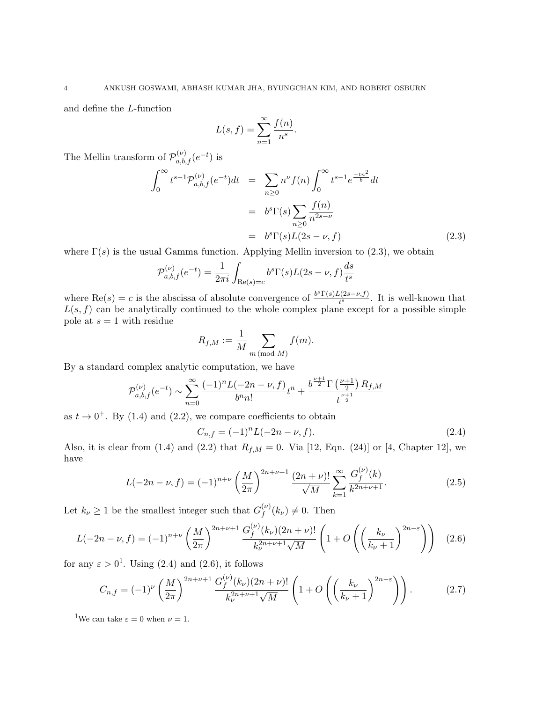and define the L-function

$$
L(s, f) = \sum_{n=1}^{\infty} \frac{f(n)}{n^s}.
$$

The Mellin transform of  $\mathcal{P}_{a,b,f}^{(\nu)}(e^{-t})$  is

$$
\int_0^\infty t^{s-1} \mathcal{P}_{a,b,f}^{(\nu)}(e^{-t}) dt = \sum_{n\geq 0} n^{\nu} f(n) \int_0^\infty t^{s-1} e^{\frac{-tn^2}{b}} dt
$$

$$
= b^s \Gamma(s) \sum_{n\geq 0} \frac{f(n)}{n^{2s-\nu}}
$$

$$
= b^s \Gamma(s) L(2s - \nu, f) \tag{2.3}
$$

where  $\Gamma(s)$  is the usual Gamma function. Applying Mellin inversion to (2.3), we obtain

$$
\mathcal{P}_{a,b,f}^{(\nu)}(e^{-t}) = \frac{1}{2\pi i} \int_{\text{Re}(s)=c} b^{s} \Gamma(s) L(2s - \nu, f) \frac{ds}{t^{s}}
$$

where  $\text{Re}(s) = c$  is the abscissa of absolute convergence of  $\frac{b^s \Gamma(s) L(2s-\nu, f)}{t^s}$  $\frac{t(2s-\nu, f)}{t^s}$ . It is well-known that  $L(s, f)$  can be analytically continued to the whole complex plane except for a possible simple pole at  $s = 1$  with residue

$$
R_{f,M} := \frac{1}{M} \sum_{m \, (\text{mod } M)} f(m).
$$

By a standard complex analytic computation, we have

$$
\mathcal{P}_{a,b,f}^{(\nu)}(e^{-t}) \sim \sum_{n=0}^{\infty} \frac{(-1)^n L(-2n-\nu,f)}{b^n n!} t^n + \frac{b^{\frac{\nu+1}{2}} \Gamma\left(\frac{\nu+1}{2}\right) R_{f,M}}{t^{\frac{\nu+1}{2}}}
$$

as  $t \to 0^+$ . By (1.4) and (2.2), we compare coefficients to obtain

$$
C_{n,f} = (-1)^n L(-2n - \nu, f). \tag{2.4}
$$

Also, it is clear from (1.4) and (2.2) that  $R_{f,M} = 0$ . Via [12, Eqn. (24)] or [4, Chapter 12], we have

$$
L(-2n-\nu,f) = (-1)^{n+\nu} \left(\frac{M}{2\pi}\right)^{2n+\nu+1} \frac{(2n+\nu)!}{\sqrt{M}} \sum_{k=1}^{\infty} \frac{G_f^{(\nu)}(k)}{k^{2n+\nu+1}}.
$$
 (2.5)

Let  $k_{\nu} \geq 1$  be the smallest integer such that  $G_f^{(\nu)}$  $f^{(\nu)}(k_{\nu}) \neq 0$ . Then

$$
L(-2n-\nu,f) = (-1)^{n+\nu} \left(\frac{M}{2\pi}\right)^{2n+\nu+1} \frac{G_f^{(\nu)}(k_\nu)(2n+\nu)!}{k_\nu^{2n+\nu+1}\sqrt{M}} \left(1+O\left(\left(\frac{k_\nu}{k_\nu+1}\right)^{2n-\varepsilon}\right)\right) \tag{2.6}
$$

for any  $\varepsilon > 0^1$ . Using (2.4) and (2.6), it follows

$$
C_{n,f} = (-1)^{\nu} \left(\frac{M}{2\pi}\right)^{2n+\nu+1} \frac{G_f^{(\nu)}(k_{\nu})(2n+\nu)!}{k_{\nu}^{2n+\nu+1}\sqrt{M}} \left(1+O\left(\left(\frac{k_{\nu}}{k_{\nu}+1}\right)^{2n-\varepsilon}\right)\right). \tag{2.7}
$$

<sup>1</sup>We can take  $\varepsilon = 0$  when  $\nu = 1$ .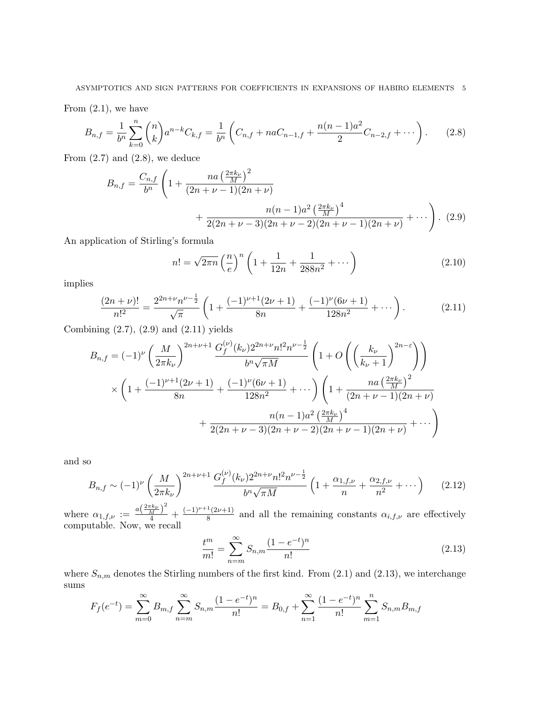From  $(2.1)$ , we have

$$
B_{n,f} = \frac{1}{b^n} \sum_{k=0}^n \binom{n}{k} a^{n-k} C_{k,f} = \frac{1}{b^n} \left( C_{n,f} + naC_{n-1,f} + \frac{n(n-1)a^2}{2} C_{n-2,f} + \cdots \right). \tag{2.8}
$$

From  $(2.7)$  and  $(2.8)$ , we deduce

$$
B_{n,f} = \frac{C_{n,f}}{b^n} \left( 1 + \frac{na \left(\frac{2\pi k_{\nu}}{M}\right)^2}{(2n + \nu - 1)(2n + \nu)} + \frac{n(n-1)a^2 \left(\frac{2\pi k_{\nu}}{M}\right)^4}{2(2n + \nu - 3)(2n + \nu - 2)(2n + \nu - 1)(2n + \nu)} + \cdots \right). (2.9)
$$

An application of Stirling's formula

$$
n! = \sqrt{2\pi n} \left(\frac{n}{e}\right)^n \left(1 + \frac{1}{12n} + \frac{1}{288n^2} + \cdots\right)
$$
 (2.10)

implies

$$
\frac{(2n+\nu)!}{n!^2} = \frac{2^{2n+\nu}n^{\nu-\frac{1}{2}}}{\sqrt{\pi}} \left( 1 + \frac{(-1)^{\nu+1}(2\nu+1)}{8n} + \frac{(-1)^{\nu}(6\nu+1)}{128n^2} + \cdots \right). \tag{2.11}
$$

Combining (2.7), (2.9) and (2.11) yields

$$
B_{n,f} = (-1)^{\nu} \left(\frac{M}{2\pi k_{\nu}}\right)^{2n+\nu+1} \frac{G_f^{(\nu)}(k_{\nu})2^{2n+\nu}n!^2n^{\nu-\frac{1}{2}}}{b^n\sqrt{\pi M}} \left(1+O\left(\left(\frac{k_{\nu}}{k_{\nu}+1}\right)^{2n-\varepsilon}\right)\right)
$$
  

$$
\times \left(1+\frac{(-1)^{\nu+1}(2\nu+1)}{8n}+\frac{(-1)^{\nu}(6\nu+1)}{128n^2}+\cdots\right) \left(1+\frac{na\left(\frac{2\pi k_{\nu}}{M}\right)^2}{(2n+\nu-1)(2n+\nu)} +\frac{n(n-1)a^2\left(\frac{2\pi k_{\nu}}{M}\right)^4}{2(2n+\nu-3)(2n+\nu-2)(2n+\nu-1)(2n+\nu)}+\cdots\right)
$$

and so

$$
B_{n,f} \sim (-1)^{\nu} \left(\frac{M}{2\pi k_{\nu}}\right)^{2n+\nu+1} \frac{G_f^{(\nu)}(k_{\nu}) 2^{2n+\nu} n!^2 n^{\nu-\frac{1}{2}}}{b^n \sqrt{\pi M}} \left(1 + \frac{\alpha_{1,f,\nu}}{n} + \frac{\alpha_{2,f,\nu}}{n^2} + \cdots\right) \tag{2.12}
$$

where  $\alpha_{1,f,\nu} := \frac{a(\frac{2\pi k_{\nu}}{M})^2}{4}$  $\frac{\binom{k\nu}{M}}{4}$  +  $\frac{(-1)^{\nu+1}(2\nu+1)}{8}$  $\frac{\Gamma(2\nu+1)}{8}$  and all the remaining constants  $\alpha_{i,f,\nu}$  are effectively computable. Now, we recall

$$
\frac{t^m}{m!} = \sum_{n=m}^{\infty} S_{n,m} \frac{(1 - e^{-t})^n}{n!}
$$
\n(2.13)

where  $S_{n,m}$  denotes the Stirling numbers of the first kind. From (2.1) and (2.13), we interchange sums

$$
F_f(e^{-t}) = \sum_{m=0}^{\infty} B_{m,f} \sum_{n=m}^{\infty} S_{n,m} \frac{(1 - e^{-t})^n}{n!} = B_{0,f} + \sum_{n=1}^{\infty} \frac{(1 - e^{-t})^n}{n!} \sum_{m=1}^n S_{n,m} B_{m,f}
$$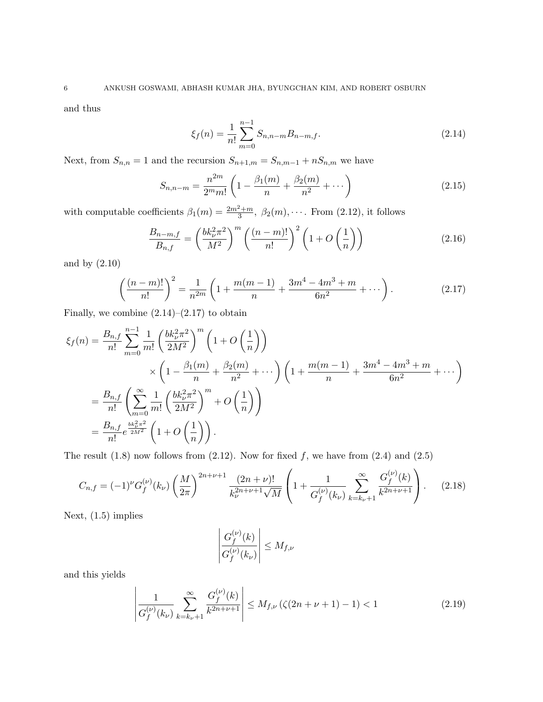and thus

$$
\xi_f(n) = \frac{1}{n!} \sum_{m=0}^{n-1} S_{n,n-m} B_{n-m,f}.
$$
\n(2.14)

Next, from  $S_{n,n} = 1$  and the recursion  $S_{n+1,m} = S_{n,m-1} + nS_{n,m}$  we have

$$
S_{n,n-m} = \frac{n^{2m}}{2^m m!} \left( 1 - \frac{\beta_1(m)}{n} + \frac{\beta_2(m)}{n^2} + \cdots \right)
$$
 (2.15)

with computable coefficients  $\beta_1(m) = \frac{2m^2+m}{3}$ ,  $\beta_2(m)$ ,  $\cdots$ . From (2.12), it follows

$$
\frac{B_{n-m,f}}{B_{n,f}} = \left(\frac{bk_{\nu}^2 \pi^2}{M^2}\right)^m \left(\frac{(n-m)!}{n!}\right)^2 \left(1 + O\left(\frac{1}{n}\right)\right) \tag{2.16}
$$

and by (2.10)

$$
\left(\frac{(n-m)!}{n!}\right)^2 = \frac{1}{n^{2m}} \left(1 + \frac{m(m-1)}{n} + \frac{3m^4 - 4m^3 + m}{6n^2} + \cdots\right). \tag{2.17}
$$

Finally, we combine  $(2.14)$ – $(2.17)$  to obtain

$$
\xi_f(n) = \frac{B_{n,f}}{n!} \sum_{m=0}^{n-1} \frac{1}{m!} \left( \frac{bk_\nu^2 \pi^2}{2M^2} \right)^m \left( 1 + O\left(\frac{1}{n}\right) \right)
$$
  
\$\times \left( 1 - \frac{\beta\_1(m)}{n} + \frac{\beta\_2(m)}{n^2} + \cdots \right) \left( 1 + \frac{m(m-1)}{n} + \frac{3m^4 - 4m^3 + m}{6n^2} + \cdots \right)\$  
=  $\frac{B_{n,f}}{n!} \left( \sum_{m=0}^{\infty} \frac{1}{m!} \left( \frac{bk_\nu^2 \pi^2}{2M^2} \right)^m + O\left(\frac{1}{n}\right) \right)$   
=  $\frac{B_{n,f}}{n!} e^{\frac{bk_\nu^2 \pi^2}{2M^2}} \left( 1 + O\left(\frac{1}{n}\right) \right).$ 

The result  $(1.8)$  now follows from  $(2.12)$ . Now for fixed f, we have from  $(2.4)$  and  $(2.5)$ 

$$
C_{n,f} = (-1)^{\nu} G_f^{(\nu)}(k_{\nu}) \left(\frac{M}{2\pi}\right)^{2n+\nu+1} \frac{(2n+\nu)!}{k_{\nu}^{2n+\nu+1}\sqrt{M}} \left(1 + \frac{1}{G_f^{(\nu)}(k_{\nu})} \sum_{k=k_{\nu}+1}^{\infty} \frac{G_f^{(\nu)}(k)}{k^{2n+\nu+1}}\right). \tag{2.18}
$$

Next, (1.5) implies

$$
\left| \frac{G_f^{(\nu)}(k)}{G_f^{(\nu)}(k_\nu)} \right| \le M_{f,\nu}
$$

and this yields

$$
\left| \frac{1}{G_f^{(\nu)}(k_{\nu})} \sum_{k=k_{\nu}+1}^{\infty} \frac{G_f^{(\nu)}(k)}{k^{2n+\nu+1}} \right| \le M_{f,\nu} \left( \zeta(2n+\nu+1) - 1 \right) < 1 \tag{2.19}
$$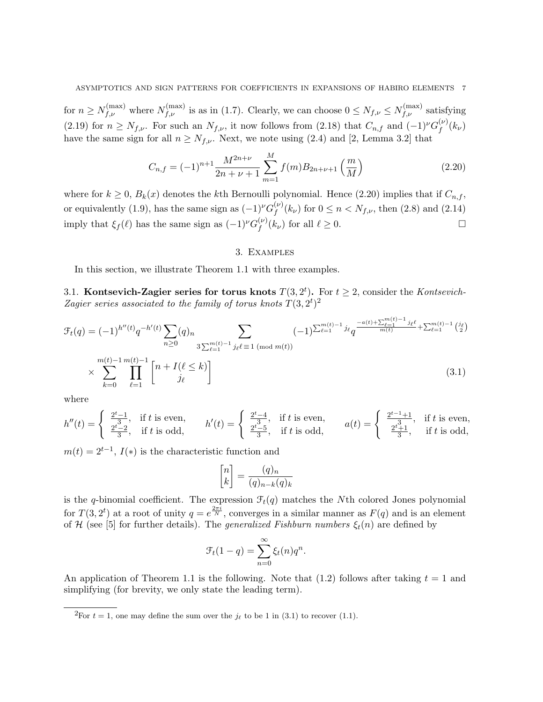for  $n \ge N_{f,\nu}^{(\max)}$  where  $N_{f,\nu}^{(\max)}$  is as in (1.7). Clearly, we can choose  $0 \le N_{f,\nu} \le N_{f,\nu}^{(\max)}$  satisfying (2.19) for  $n \ge N_{f,\nu}$ . For such an  $N_{f,\nu}$ , it now follows from (2.18) that  $C_{n,f}$  and  $(-1)^{\nu}G_f^{(\nu)}$  $f^{\left(\nu\right)}(k_\nu)$ have the same sign for all  $n \geq N_{f,\nu}$ . Next, we note using (2.4) and [2, Lemma 3.2] that

$$
C_{n,f} = (-1)^{n+1} \frac{M^{2n+\nu}}{2n+\nu+1} \sum_{m=1}^{M} f(m) B_{2n+\nu+1} \left(\frac{m}{M}\right)
$$
 (2.20)

where for  $k \geq 0$ ,  $B_k(x)$  denotes the kth Bernoulli polynomial. Hence (2.20) implies that if  $C_{n,f}$ , or equivalently (1.9), has the same sign as  $(-1)^{\nu} G_f^{(\nu)}$  $f_f^{(\nu)}(k_{\nu})$  for  $0 \le n < N_{f,\nu}$ , then (2.8) and (2.14) imply that  $\xi_f(\ell)$  has the same sign as  $(-1)^{\nu} G_f^{(\nu)}$  $f_f^{(\nu)}(k_\nu)$  for all  $\ell \geq 0$ .

#### 3. Examples

In this section, we illustrate Theorem 1.1 with three examples.

3.1. Kontsevich-Zagier series for torus knots  $T(3, 2^t)$ . For  $t \geq 2$ , consider the Kontsevich-Zagier series associated to the family of torus knots  $T(3,2^t)^2$ 

$$
\mathcal{F}_t(q) = (-1)^{h''(t)} q^{-h'(t)} \sum_{n \ge 0} (q)_n \sum_{3 \sum_{\ell=1}^{m(t)-1} j_\ell \ell \equiv 1 \pmod{m(t)}} (-1)^{\sum_{\ell=1}^{m(t)-1} j_\ell q} q^{\frac{-a(t) + \sum_{\ell=1}^{m(t)-1} j_\ell \ell}{m(t)}} + \sum_{\ell=1}^{m(t)-1} \binom{j_\ell}{2} \times \sum_{\ell=1}^{m(t)-1} \prod_{j_\ell=1}^{m(t)-1} \binom{n + I(\ell \le k)}{j_\ell}
$$
\n(3.1)

where

$$
h''(t) = \begin{cases} \frac{2^t - 1}{3}, & \text{if } t \text{ is even,} \\ \frac{2^t - 2}{3}, & \text{if } t \text{ is odd,} \end{cases} \qquad h'(t) = \begin{cases} \frac{2^t - 4}{3}, & \text{if } t \text{ is even,} \\ \frac{2^t - 5}{3}, & \text{if } t \text{ is odd,} \end{cases} \qquad a(t) = \begin{cases} \frac{2^{t-1} + 1}{3}, & \text{if } t \text{ is even,} \\ \frac{2^t + 1}{3}, & \text{if } t \text{ is odd,} \end{cases}
$$

 $m(t) = 2^{t-1}$ ,  $I(*)$  is the characteristic function and

$$
\begin{bmatrix} n \\ k \end{bmatrix} = \frac{(q)_n}{(q)_{n-k}(q)_k}
$$

is the q-binomial coefficient. The expression  $\mathcal{F}_t(q)$  matches the Nth colored Jones polynomial for  $T(3, 2^t)$  at a root of unity  $q = e^{\frac{2\pi i}{N}}$ , converges in a similar manner as  $F(q)$  and is an element of H (see [5] for further details). The *generalized Fishburn numbers*  $\xi_t(n)$  are defined by

$$
\mathcal{F}_t(1-q) = \sum_{n=0}^{\infty} \xi_t(n)q^n.
$$

An application of Theorem 1.1 is the following. Note that  $(1.2)$  follows after taking  $t = 1$  and simplifying (for brevity, we only state the leading term).

<sup>&</sup>lt;sup>2</sup>For  $t = 1$ , one may define the sum over the  $j_{\ell}$  to be 1 in (3.1) to recover (1.1).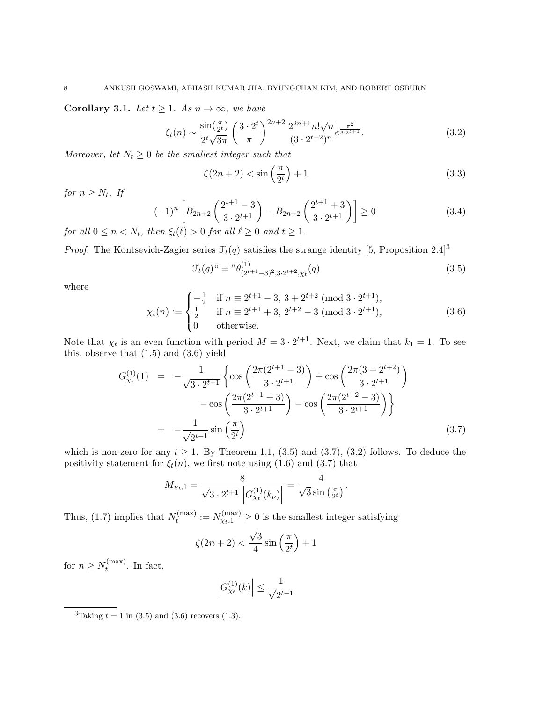Corollary 3.1. Let  $t \geq 1$ . As  $n \to \infty$ , we have

$$
\xi_t(n) \sim \frac{\sin(\frac{\pi}{2^t})}{2^t \sqrt{3\pi}} \left(\frac{3 \cdot 2^t}{\pi}\right)^{2n+2} \frac{2^{2n+1} n! \sqrt{n}}{(3 \cdot 2^{t+2})^n} e^{\frac{\pi^2}{3 \cdot 2^{t+1}}}.
$$
\n(3.2)

Moreover, let  $N_t \geq 0$  be the smallest integer such that

$$
\zeta(2n+2) < \sin\left(\frac{\pi}{2^t}\right) + 1\tag{3.3}
$$

for  $n \geq N_t$ . If

$$
(-1)^n \left[ B_{2n+2} \left( \frac{2^{t+1} - 3}{3 \cdot 2^{t+1}} \right) - B_{2n+2} \left( \frac{2^{t+1} + 3}{3 \cdot 2^{t+1}} \right) \right] \ge 0
$$
\n
$$
\lim_{n \to \infty} \mathcal{L}(\ell) > 0 \text{ for all } \ell > 0 \text{ and } t > 1 \tag{3.4}
$$

for all  $0 \le n \le N_t$ , then  $\xi_t(\ell) > 0$  for all  $\ell \ge 0$  and  $t \ge 1$ .

*Proof.* The Kontsevich-Zagier series  $\mathcal{F}_t(q)$  satisfies the strange identity [5, Proposition 2.4]<sup>3</sup>

$$
\mathcal{F}_t(q)^{u} = \mathcal{F}(\theta^{(1)}_{(2^{t+1}-3)^2,3\cdot 2^{t+2},\chi_t}(q))
$$
\n(3.5)

where

$$
\chi_t(n) := \begin{cases}\n-\frac{1}{2} & \text{if } n \equiv 2^{t+1} - 3, 3 + 2^{t+2} \pmod{3 \cdot 2^{t+1}}, \\
\frac{1}{2} & \text{if } n \equiv 2^{t+1} + 3, 2^{t+2} - 3 \pmod{3 \cdot 2^{t+1}}, \\
0 & \text{otherwise.} \n\end{cases}
$$
\n(3.6)

Note that  $\chi_t$  is an even function with period  $M = 3 \cdot 2^{t+1}$ . Next, we claim that  $k_1 = 1$ . To see this, observe that (1.5) and (3.6) yield

$$
G_{\chi_t}^{(1)}(1) = -\frac{1}{\sqrt{3 \cdot 2^{t+1}}} \left\{ \cos \left( \frac{2\pi (2^{t+1} - 3)}{3 \cdot 2^{t+1}} \right) + \cos \left( \frac{2\pi (3 + 2^{t+2})}{3 \cdot 2^{t+1}} \right) - \cos \left( \frac{2\pi (2^{t+1} + 3)}{3 \cdot 2^{t+1}} \right) - \cos \left( \frac{2\pi (2^{t+2} - 3)}{3 \cdot 2^{t+1}} \right) \right\}
$$
  
= 
$$
-\frac{1}{\sqrt{2^{t-1}}} \sin \left( \frac{\pi}{2^t} \right) \tag{3.7}
$$

which is non-zero for any  $t \geq 1$ . By Theorem 1.1, (3.5) and (3.7), (3.2) follows. To deduce the positivity statement for  $\xi_t(n)$ , we first note using (1.6) and (3.7) that

$$
M_{\chi_t,1} = \frac{8}{\sqrt{3 \cdot 2^{t+1}} \left| G_{\chi_t}^{(1)}(k_\nu) \right|} = \frac{4}{\sqrt{3} \sin\left(\frac{\pi}{2^t}\right)}.
$$

Thus, (1.7) implies that  $N_t^{(\text{max})}$  $t_t^{(\max)} := N_{\chi_t,1}^{(\max)} \ge 0$  is the smallest integer satisfying √

$$
\zeta(2n+2) < \frac{\sqrt{3}}{4}\sin\left(\frac{\pi}{2^t}\right) + 1
$$

for  $n \geq N_t^{(\text{max})}$  $t_t^{\text{(max)}}$ . In fact,

$$
\left| G_{\chi_t}^{(1)}(k) \right| \le \frac{1}{\sqrt{2^{t-1}}}
$$

<sup>&</sup>lt;sup>3</sup>Taking  $t = 1$  in (3.5) and (3.6) recovers (1.3).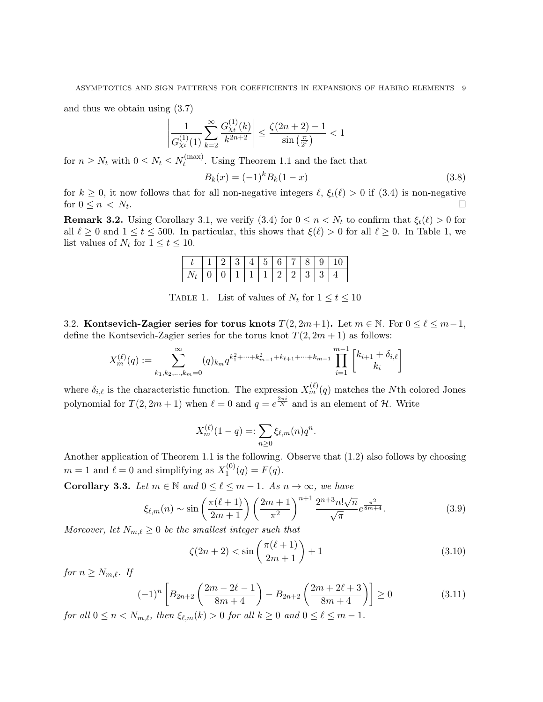and thus we obtain using (3.7)

$$
\left| \frac{1}{G_{\chi_t}^{(1)}(1)} \sum_{k=2}^{\infty} \frac{G_{\chi_t}^{(1)}(k)}{k^{2n+2}} \right| \le \frac{\zeta(2n+2)-1}{\sin\left(\frac{\pi}{2^t}\right)} < 1
$$

for  $n \geq N_t$  with  $0 \leq N_t \leq N_t^{(\text{max})}$  $t_t^{\text{(max)}}$ . Using Theorem 1.1 and the fact that

$$
B_k(x) = (-1)^k B_k(1-x)
$$
\n(3.8)

for  $k \geq 0$ , it now follows that for all non-negative integers  $\ell$ ,  $\xi_t(\ell) > 0$  if  $(3.4)$  is non-negative for  $0 \leq n \lt N_t$ . . В последните при подата на селото на селото на селото на селото на селото на селото на селото на селото на п<br>В последните подата на селото на селото на селото на селото на селото на селото на селото на селото на селото

**Remark 3.2.** Using Corollary 3.1, we verify (3.4) for  $0 \le n \le N_t$  to confirm that  $\xi_t(\ell) > 0$  for all  $\ell \ge 0$  and  $1 \le t \le 500$ . In particular, this shows that  $\xi(\ell) > 0$  for all  $\ell \ge 0$ . In Table 1, we list values of  $N_t$  for  $1 \le t \le 10$ .

|                                                                                  |  |  |  |  | $t   1   2   3   4   5   6   7   8   9   10$ |
|----------------------------------------------------------------------------------|--|--|--|--|----------------------------------------------|
| $\mid N_t \mid 0 \mid 0 \mid 1 \mid 1 \mid 1 \mid 2 \mid 2 \mid 3 \mid 3 \mid 4$ |  |  |  |  |                                              |

TABLE 1. List of values of  $N_t$  for  $1 \le t \le 10$ 

3.2. Kontsevich-Zagier series for torus knots  $T(2, 2m+1)$ . Let  $m \in \mathbb{N}$ . For  $0 \le \ell \le m-1$ , define the Kontsevich-Zagier series for the torus knot  $T(2, 2m + 1)$  as follows:

$$
X_m^{(\ell)}(q) := \sum_{k_1, k_2, \dots, k_m = 0}^{\infty} (q)_{k_m} q^{k_1^2 + \dots + k_{m-1}^2 + k_{\ell+1} + \dots + k_{m-1}} \prod_{i=1}^{m-1} \left[ k_{i+1} + \delta_{i,\ell} \right]
$$

where  $\delta_{i,\ell}$  is the characteristic function. The expression  $X_m^{(\ell)}(q)$  matches the Nth colored Jones polynomial for  $T(2, 2m + 1)$  when  $\ell = 0$  and  $q = e^{\frac{2\pi i}{N}}$  and is an element of H. Write

$$
X_m^{(\ell)}(1-q) =: \sum_{n \ge 0} \xi_{\ell,m}(n) q^n.
$$

Another application of Theorem 1.1 is the following. Observe that (1.2) also follows by choosing  $m = 1$  and  $\ell = 0$  and simplifying as  $X_1^{(0)}$  $I_1^{(0)}(q) = F(q).$ 

Corollary 3.3. Let  $m \in \mathbb{N}$  and  $0 \leq \ell \leq m - 1$ . As  $n \to \infty$ , we have

$$
\xi_{\ell,m}(n) \sim \sin\left(\frac{\pi(\ell+1)}{2m+1}\right) \left(\frac{2m+1}{\pi^2}\right)^{n+1} \frac{2^{n+3}n!\sqrt{n}}{\sqrt{\pi}} e^{\frac{\pi^2}{8m+4}}.
$$
\n(3.9)

Moreover, let  $N_{m,\ell} \geq 0$  be the smallest integer such that

$$
\zeta(2n+2) < \sin\left(\frac{\pi(\ell+1)}{2m+1}\right) + 1\tag{3.10}
$$

for  $n \geq N_{m,\ell}$ . If

$$
(-1)^n \left[ B_{2n+2} \left( \frac{2m-2\ell-1}{8m+4} \right) - B_{2n+2} \left( \frac{2m+2\ell+3}{8m+4} \right) \right] \ge 0 \tag{3.11}
$$

for all  $0 \le n \le N_{m,\ell}$ , then  $\xi_{\ell,m}(k) > 0$  for all  $k \ge 0$  and  $0 \le \ell \le m - 1$ .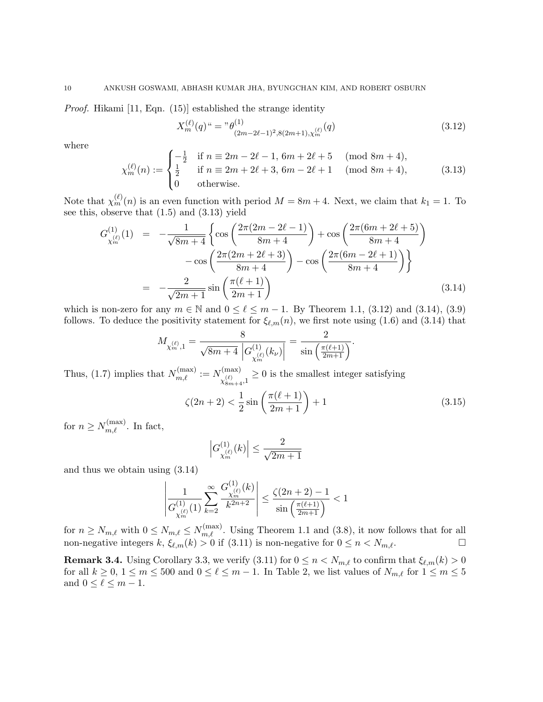Proof. Hikami [11, Eqn. (15)] established the strange identity

$$
X_m^{(\ell)}(q)^u = \binom{m}{2m-2\ell-1}^3 s(2m+1) \cdot X_m^{(\ell)}(q) \tag{3.12}
$$

where

$$
\chi_m^{(\ell)}(n) := \begin{cases}\n-\frac{1}{2} & \text{if } n \equiv 2m - 2\ell - 1, 6m + 2\ell + 5 \pmod{8m + 4}, \\
\frac{1}{2} & \text{if } n \equiv 2m + 2\ell + 3, 6m - 2\ell + 1 \pmod{8m + 4}, \\
0 & \text{otherwise.} \n\end{cases}
$$
\n(3.13)

Note that  $\chi_m^{(\ell)}(n)$  is an even function with period  $M = 8m + 4$ . Next, we claim that  $k_1 = 1$ . To see this, observe that (1.5) and (3.13) yield

$$
G_{\chi_m^{(\ell)}}^{(1)}(1) = -\frac{1}{\sqrt{8m+4}} \left\{ \cos\left(\frac{2\pi(2m-2\ell-1)}{8m+4}\right) + \cos\left(\frac{2\pi(6m+2\ell+5)}{8m+4}\right) - \cos\left(\frac{2\pi(2m+2\ell+3)}{8m+4}\right) - \cos\left(\frac{2\pi(6m-2\ell+1)}{8m+4}\right) \right\}
$$
  
= 
$$
-\frac{2}{\sqrt{2m+1}} \sin\left(\frac{\pi(\ell+1)}{2m+1}\right)
$$
(3.14)

which is non-zero for any  $m \in \mathbb{N}$  and  $0 \leq \ell \leq m - 1$ . By Theorem 1.1, (3.12) and (3.14), (3.9) follows. To deduce the positivity statement for  $\xi_{\ell,m}(n)$ , we first note using (1.6) and (3.14) that

$$
M_{\chi_m^{(\ell)},1} = \frac{8}{\sqrt{8m+4}} \frac{8}{\left| G_{\chi_m^{(\ell)}}^{(1)}(k_\nu) \right|} = \frac{2}{\sin\left(\frac{\pi(\ell+1)}{2m+1}\right)}.
$$

Thus, (1.7) implies that  $N_{m,\ell}^{(\text{max})} := N_{\mathcal{N}^{(\ell)}}^{(\text{max})}$  $\chi^{(\ell)}_{8m+4}, 1$  $\geq 0$  is the smallest integer satisfying

$$
\zeta(2n+2) < \frac{1}{2}\sin\left(\frac{\pi(\ell+1)}{2m+1}\right) + 1\tag{3.15}
$$

for  $n \geq N_{m,\ell}^{(\text{max})}$ . In fact,

$$
\left|G^{(1)}_{\chi_m^{(\ell)}}(k)\right|\leq \frac{2}{\sqrt{2m+1}}
$$

and thus we obtain using (3.14)

$$
\left|\frac{1}{G_{\chi_m^{(\ell)}}^{(1)}(1)}\sum_{k=2}^{\infty}\frac{G_{\chi_m^{(\ell)}}^{(1)}(k)}{k^{2n+2}}\right|\leq \frac{\zeta(2n+2)-1}{\sin\left(\frac{\pi(\ell+1)}{2m+1}\right)}<1
$$

for  $n \ge N_{m,\ell}$  with  $0 \le N_{m,\ell} \le N_{m,\ell}^{(\text{max})}$ . Using Theorem 1.1 and (3.8), it now follows that for all non-negative integers  $k$ ,  $\xi_{\ell,m}(k) > 0$  if  $(3.11)$  is non-negative for  $0 \le n < N_{m,\ell}$ .

**Remark 3.4.** Using Corollary 3.3, we verify (3.11) for  $0 \le n \le N_{m,\ell}$  to confirm that  $\xi_{\ell,m}(k) > 0$ for all  $k \geq 0$ ,  $1 \leq m \leq 500$  and  $0 \leq \ell \leq m-1$ . In Table 2, we list values of  $N_{m,\ell}$  for  $1 \leq m \leq 5$ and  $0 \leq \ell \leq m - 1$ .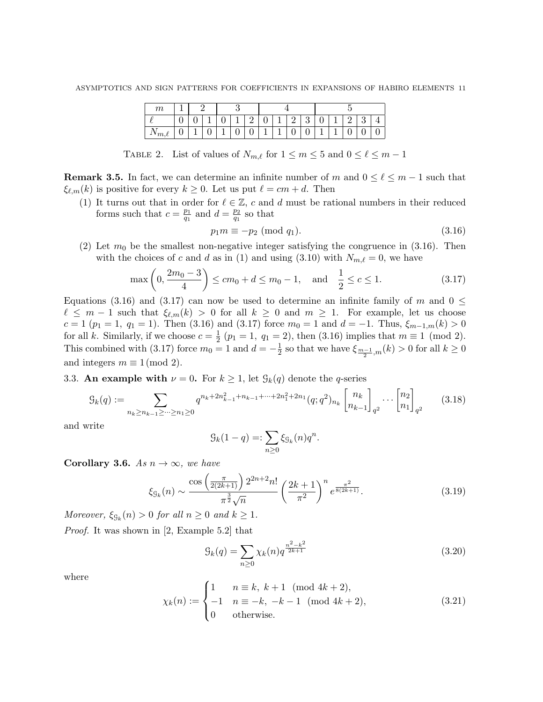| $\boldsymbol{m}$  |   |  |   |   |   |   |          |   |   |  |        |  |
|-------------------|---|--|---|---|---|---|----------|---|---|--|--------|--|
|                   | ັ |  | ັ |   |   | ັ | . .<br>↵ | ಀ | ັ |  | 2<br>ບ |  |
| $\rightarrow m,t$ |   |  |   | v | v |   | v        | ◡ |   |  | ັ      |  |

TABLE 2. List of values of  $N_{m,\ell}$  for  $1 \leq m \leq 5$  and  $0 \leq \ell \leq m - 1$ 

**Remark 3.5.** In fact, we can determine an infinite number of m and  $0 \leq \ell \leq m-1$  such that  $\xi_{\ell,m}(k)$  is positive for every  $k \geq 0$ . Let us put  $\ell = cm + d$ . Then

(1) It turns out that in order for  $\ell \in \mathbb{Z}$ , c and d must be rational numbers in their reduced forms such that  $c = \frac{p_1}{q_1}$  $\frac{p_1}{q_1}$  and  $d = \frac{p_2}{q_1}$  $\frac{p_2}{q_1}$  so that

$$
p_1 m \equiv -p_2 \pmod{q_1}.\tag{3.16}
$$

(2) Let  $m_0$  be the smallest non-negative integer satisfying the congruence in (3.16). Then with the choices of c and d as in (1) and using (3.10) with  $N_{m,\ell} = 0$ , we have

$$
\max\left(0, \frac{2m_0 - 3}{4}\right) \le cm_0 + d \le m_0 - 1, \text{ and } \frac{1}{2} \le c \le 1.
$$
 (3.17)

Equations (3.16) and (3.17) can now be used to determine an infinite family of m and  $0 \leq$  $\ell \leq m - 1$  such that  $\xi_{\ell,m}(k) > 0$  for all  $k \geq 0$  and  $m \geq 1$ . For example, let us choose  $c = 1$  ( $p_1 = 1$ ,  $q_1 = 1$ ). Then (3.16) and (3.17) force  $m_0 = 1$  and  $d = -1$ . Thus,  $\xi_{m-1,m}(k) > 0$ for all k. Similarly, if we choose  $c = \frac{1}{2}$  $\frac{1}{2}$  ( $p_1 = 1, q_1 = 2$ ), then (3.16) implies that  $m \equiv 1 \pmod{2}$ . This combined with (3.17) force  $m_0 = 1$  and  $d = -\frac{1}{2}$  $\frac{1}{2}$  so that we have  $\xi_{\frac{m-1}{2},m}(k) > 0$  for all  $k \geq 0$ and integers  $m \equiv 1 \pmod{2}$ .

# 3.3. An example with  $\nu = 0$ . For  $k \geq 1$ , let  $\mathcal{G}_k(q)$  denote the q-series

$$
\mathcal{G}_k(q) := \sum_{n_k \ge n_{k-1} \ge \dots \ge n_1 \ge 0} q^{n_k + 2n_{k-1}^2 + n_{k-1} + \dots + 2n_1^2 + 2n_1} (q; q^2)_{n_k} \begin{bmatrix} n_k \\ n_{k-1} \end{bmatrix}_{q^2} \dots \begin{bmatrix} n_2 \\ n_1 \end{bmatrix}_{q^2}
$$
 (3.18)

and write

$$
\mathcal{G}_k(1-q) =: \sum_{n\geq 0} \xi_{\mathcal{G}_k}(n) q^n.
$$

Corollary 3.6. As  $n \to \infty$ , we have

$$
\xi_{\mathcal{G}_k}(n) \sim \frac{\cos\left(\frac{\pi}{2(2k+1)}\right) 2^{2n+2} n!}{\pi^{\frac{3}{2}} \sqrt{n}} \left(\frac{2k+1}{\pi^2}\right)^n e^{\frac{\pi^2}{8(2k+1)}}.
$$
\n(3.19)

Moreover,  $\xi_{\mathcal{G}_k}(n) > 0$  for all  $n \geq 0$  and  $k \geq 1$ .

Proof. It was shown in [2, Example 5.2] that

$$
\mathcal{G}_k(q) = \sum_{n \ge 0} \chi_k(n) q^{\frac{n^2 - k^2}{2k + 1}} \tag{3.20}
$$

where

$$
\chi_k(n) := \begin{cases} 1 & n \equiv k, \ k+1 \pmod{4k+2}, \\ -1 & n \equiv -k, \ -k-1 \pmod{4k+2}, \\ 0 & \text{otherwise.} \end{cases}
$$
(3.21)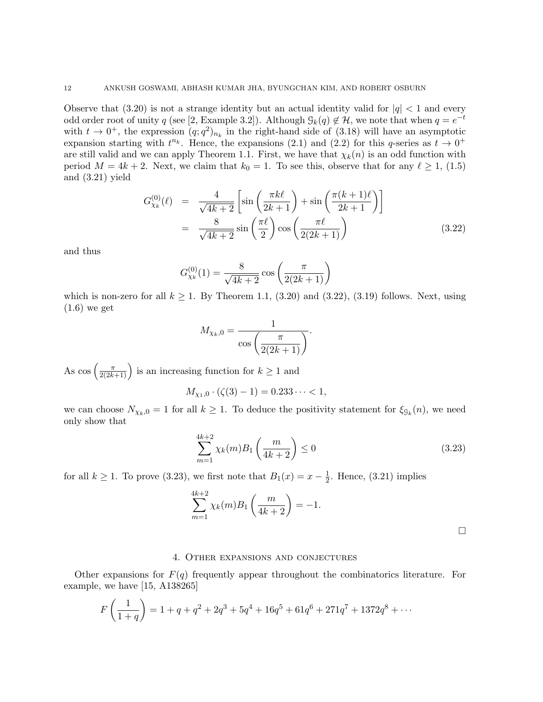Observe that  $(3.20)$  is not a strange identity but an actual identity valid for  $|q| < 1$  and every odd order root of unity q (see [2, Example 3.2]). Although  $\mathcal{G}_k(q) \notin \mathcal{H}$ , we note that when  $q = e^{-t}$ with  $t \to 0^+$ , the expression  $(q; q^2)_{n_k}$  in the right-hand side of (3.18) will have an asymptotic expansion starting with  $t^{n_k}$ . Hence, the expansions (2.1) and (2.2) for this q-series as  $t \to 0^+$ are still valid and we can apply Theorem 1.1. First, we have that  $\chi_k(n)$  is an odd function with period  $M = 4k + 2$ . Next, we claim that  $k_0 = 1$ . To see this, observe that for any  $\ell \geq 1$ , (1.5) and (3.21) yield

$$
G_{\chi_k}^{(0)}(\ell) = \frac{4}{\sqrt{4k+2}} \left[ \sin\left(\frac{\pi k\ell}{2k+1}\right) + \sin\left(\frac{\pi (k+1)\ell}{2k+1}\right) \right]
$$

$$
= \frac{8}{\sqrt{4k+2}} \sin\left(\frac{\pi \ell}{2}\right) \cos\left(\frac{\pi \ell}{2(2k+1)}\right) \tag{3.22}
$$

and thus

$$
G_{\chi_k}^{(0)}(1) = \frac{8}{\sqrt{4k+2}} \cos\left(\frac{\pi}{2(2k+1)}\right)
$$

which is non-zero for all  $k \geq 1$ . By Theorem 1.1, (3.20) and (3.22), (3.19) follows. Next, using  $(1.6)$  we get

$$
M_{\chi_k,0} = \frac{1}{\cos\left(\frac{\pi}{2(2k+1)}\right)}.
$$

As  $\cos\left(\frac{\pi}{2(2k+1)}\right)$  is an increasing function for  $k \geq 1$  and

$$
M_{\chi_1,0} \cdot (\zeta(3) - 1) = 0.233 \cdots < 1,
$$

we can choose  $N_{\chi_k,0} = 1$  for all  $k \geq 1$ . To deduce the positivity statement for  $\xi_{\mathcal{G}_k}(n)$ , we need only show that

$$
\sum_{m=1}^{4k+2} \chi_k(m) B_1\left(\frac{m}{4k+2}\right) \le 0
$$
\n(3.23)

for all  $k \geq 1$ . To prove (3.23), we first note that  $B_1(x) = x - \frac{1}{2}$  $\frac{1}{2}$ . Hence, (3.21) implies

$$
\sum_{m=1}^{4k+2} \chi_k(m) B_1\left(\frac{m}{4k+2}\right) = -1.
$$

# 4. Other expansions and conjectures

Other expansions for  $F(q)$  frequently appear throughout the combinatorics literature. For example, we have [15, A138265]

$$
F\left(\frac{1}{1+q}\right) = 1 + q + q^2 + 2q^3 + 5q^4 + 16q^5 + 61q^6 + 271q^7 + 1372q^8 + \cdots
$$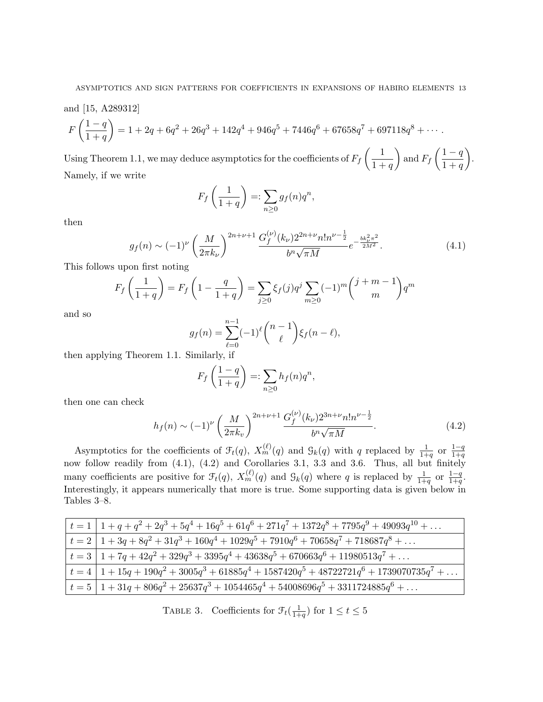and [15, A289312]  
\n
$$
F\left(\frac{1-q}{1+q}\right) = 1 + 2q + 6q^{2} + 26q^{3} + 142q^{4} + 946q^{5} + 7446q^{6} + 67658q^{7} + 697118q^{8} + \cdots
$$

Using Theorem 1.1, we may deduce asymptotics for the coefficients of  $F_f\left(\frac{1}{1+r}\right)$  $1 + q$ ) and  $F_f\left(\frac{1-q}{1+r}\right)$  $1 + q$  . Namely, if we write

$$
F_f\left(\frac{1}{1+q}\right) =: \sum_{n\geq 0} g_f(n)q^n,
$$

then

$$
g_f(n) \sim (-1)^{\nu} \left(\frac{M}{2\pi k_{\nu}}\right)^{2n+\nu+1} \frac{G_f^{(\nu)}(k_{\nu}) 2^{2n+\nu} n! n^{\nu-\frac{1}{2}}}{b^n \sqrt{\pi M}} e^{-\frac{bk_{\nu}^2 \pi^2}{2M^2}}.
$$
(4.1)

This follows upon first noting

$$
F_f\left(\frac{1}{1+q}\right) = F_f\left(1 - \frac{q}{1+q}\right) = \sum_{j\geq 0} \xi_f(j) q^j \sum_{m\geq 0} (-1)^m {j+m-1 \choose m} q^m
$$

and so

$$
g_f(n) = \sum_{\ell=0}^{n-1} (-1)^{\ell} {n-1 \choose \ell} \xi_f(n-\ell),
$$

then applying Theorem 1.1. Similarly, if

$$
F_f\left(\frac{1-q}{1+q}\right) =: \sum_{n\geq 0} h_f(n)q^n,
$$

then one can check

$$
h_f(n) \sim (-1)^{\nu} \left(\frac{M}{2\pi k_v}\right)^{2n+\nu+1} \frac{G_f^{(\nu)}(k_{\nu}) 2^{3n+\nu} n! n^{\nu-\frac{1}{2}}}{b^n \sqrt{\pi M}}.
$$
\n(4.2)

Asymptotics for the coefficients of  $\mathcal{F}_t(q)$ ,  $X_m^{(\ell)}(q)$  and  $\mathcal{G}_k(q)$  with q replaced by  $\frac{1}{1+q}$  or  $\frac{1-q}{1+q}$  $\overline{1+q}$ now follow readily from (4.1), (4.2) and Corollaries 3.1, 3.3 and 3.6. Thus, all but finitely many coefficients are positive for  $\mathcal{F}_t(q)$ ,  $X_m^{(\ell)}(q)$  and  $\mathcal{G}_k(q)$  where q is replaced by  $\frac{1}{1+q}$  or  $\frac{1-q}{1+q}$  $\frac{1-q}{1+q}$ . Interestingly, it appears numerically that more is true. Some supporting data is given below in Tables 3–8.

| $\vert t=1 \vert 1+q+q^2+2q^3+5q^4+16q^5+61q^6+271q^7+1372q^8+7795q^9+49093q^{10}+\ldots$                       |
|-----------------------------------------------------------------------------------------------------------------|
| $t = 2 \left[ 1 + 3q + 8q^2 + 31q^3 + 160q^4 + 1029q^5 + 7910q^6 + 70658q^7 + 718687q^8 + \dots \right]$        |
| $t = 3 \left[ 1 + 7q + 42q^2 + 329q^3 + 3395q^4 + 43638q^5 + 670663q^6 + 11980513q^7 + \dots \right]$           |
| $t = 4 \left[ 1 + 15q + 190q^2 + 3005q^3 + 61885q^4 + 1587420q^5 + 48722721q^6 + 1739070735q^7 + \dots \right]$ |
| $t = 5   1 + 31q + 806q^2 + 25637q^3 + 1054465q^4 + 54008696q^5 + 3311724885q^6 + \ldots$                       |

TABLE 3. Coefficients for  $\mathcal{F}_t(\frac{1}{1+})$  $\frac{1}{1+q}$ ) for  $1 \le t \le 5$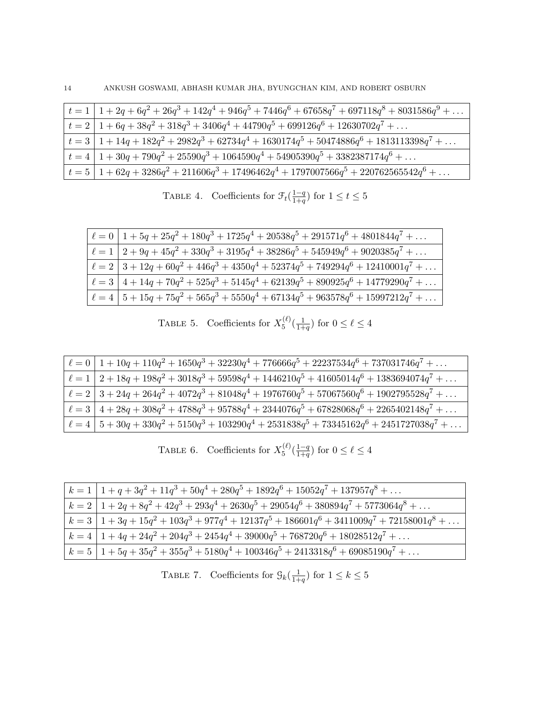| $\mid t=1 \mid 1+2q+6q^2+26q^3+142q^4+946q^5+7446q^6+67658q^7+697118q^8+8031586q^9+\ldots$                    |
|---------------------------------------------------------------------------------------------------------------|
| $\vert t = 2 \vert 1 + 6q + 38q^2 + 318q^3 + 3406q^4 + 44790q^5 + 699126q^6 + 12630702q^7 + \dots$            |
| $\vert t = 3 \vert 1 + 14q + 182q^2 + 2982q^3 + 62734q^4 + 1630174q^5 + 50474886q^6 + 1813113398q^7 + \ldots$ |
| $\vert t = 4 \vert 1 + 30q + 790q^2 + 25590q^3 + 1064590q^4 + 54905390q^5 + 3382387174q^6 + \dots$            |
| $\vert t = 5 \vert 1 + 62q + 3286q^2 + 211606q^3 + 17496462q^4 + 1797007566q^5 + 220762565542q^6 + \ldots$    |

TABLE 4. Coefficients for  $\mathcal{F}_t(\frac{1-q}{1+q})$  $\frac{1-q}{1+q}$  for  $1 \le t \le 5$ 

| $\ell = 0$   $1 + 5q + 25q^2 + 180q^3 + 1725q^4 + 20538q^5 + 291571q^6 + 4801844q^7 + \dots$               |
|------------------------------------------------------------------------------------------------------------|
| $\ell = 1 \left[ 2 + 9q + 45q^2 + 330q^3 + 3195q^4 + 38286q^5 + 545949q^6 + 9020385q^7 + \dots \right]$    |
| $\ell = 2 \left[ 3 + 12q + 60q^2 + 446q^3 + 4350q^4 + 52374q^5 + 749294q^6 + 12410001q^7 + \ldots \right]$ |
| $\ell = 3 \left[ 4 + 14q + 70q^2 + 525q^3 + 5145q^4 + 62139q^5 + 890925q^6 + 14779290q^7 + \ldots \right]$ |
| $\ell = 4 \mid 5 + 15q + 75q^2 + 565q^3 + 5550q^4 + 67134q^5 + 963578q^6 + 15997212q^7 + \ldots$           |

|  | TABLE 5. Coefficients for $X_5^{(\ell)}(\frac{1}{1+q})$ for $0 \leq \ell \leq 4$ |  |  |
|--|----------------------------------------------------------------------------------|--|--|
|--|----------------------------------------------------------------------------------|--|--|

| $\vert \ell = 0 \vert 1 + 10q + 110q^2 + 1650q^3 + 32230q^4 + 776666q^5 + 22237534q^6 + 737031746q^7 + \dots$           |
|-------------------------------------------------------------------------------------------------------------------------|
| $\vert \ell = 1 \vert 2 + 18q + 198q^2 + 3018q^3 + 59598q^4 + 1446210q^5 + 41605014q^6 + 1383694074q^7 + \dots$         |
| $\lvert \ell = 2 \rvert 3 + 24q + 264q^2 + 4072q^3 + 81048q^4 + 1976760q^5 + 57067560q^6 + 1902795528q^7 + \ldots$      |
| $\left\vert \ell =3\ \right\vert 4+28q+308q^{2}+4788q^{3}+95788q^{4}+2344076q^{5}+67828068q^{6}+2265402148q^{7}+\ldots$ |
| $\vert \ell = 4 \vert 5 + 30q + 330q^2 + 5150q^3 + 103290q^4 + 2531838q^5 + 73345162q^6 + 2451727038q^7 + \dots$        |

| TABLE 6. Coefficients for $X_5^{(\ell)}(\frac{1-q}{1+q})$ for $0 \leq \ell \leq 4$ |  |
|------------------------------------------------------------------------------------|--|
|------------------------------------------------------------------------------------|--|

| $\mid k=1 \mid 1+q+3q^2+11q^3+50q^4+280q^5+1892q^6+15052q^7+137957q^8+\ldots$                                                                   |
|-------------------------------------------------------------------------------------------------------------------------------------------------|
| $\begin{array}{ l } k=2 \end{array}$ $\begin{array}{ l } 1+2q+8q^2+42q^3+293q^4+2630q^5+29054q^6+380894q^7+5773064q^8+\ldots \end{array}$       |
| $\begin{array}{ l } k=3 \end{array}$ $\begin{array}{ l } 1+3q+15q^2+103q^3+977q^4+12137q^5+186601q^6+3411009q^7+72158001q^8+\ldots \end{array}$ |
| $k = 4 \mid 1 + 4q + 24q^{2} + 204q^{3} + 2454q^{4} + 39000q^{5} + 768720q^{6} + 18028512q^{7} + $                                              |
| $k = 5   1 + 5q + 35q^2 + 355q^3 + 5180q^4 + 100346q^5 + 2413318q^6 + 69085190q^7 + $                                                           |

|  | TABLE 7. Coefficients for $\mathcal{G}_k(\frac{1}{1+q})$ for $1 \leq k \leq 5$ |  |  |  |  |  |  |
|--|--------------------------------------------------------------------------------|--|--|--|--|--|--|
|--|--------------------------------------------------------------------------------|--|--|--|--|--|--|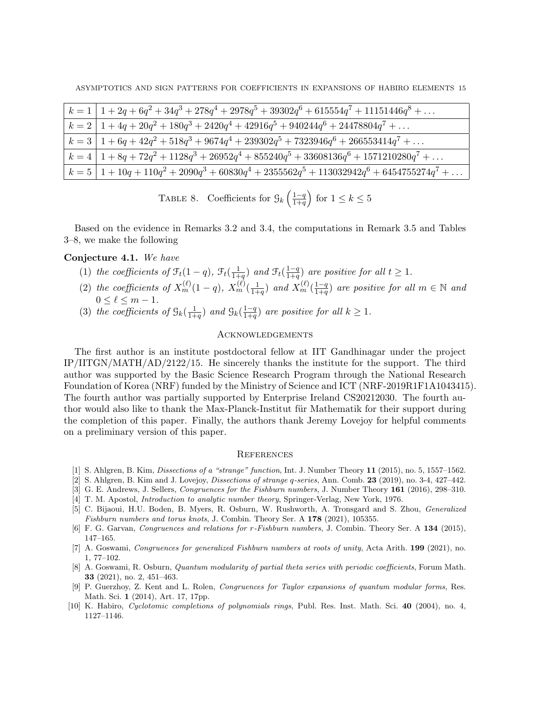| $k = 1 \left[ 1 + 2q + 6q^2 + 34q^3 + 278q^4 + 2978q^5 + 39302q^6 + 615554q^7 + 11151446q^8 + \dots \right]$          |
|-----------------------------------------------------------------------------------------------------------------------|
| $k = 2 \left[ 1 + 4q + 20q^{2} + 180q^{3} + 2420q^{4} + 42916q^{5} + 940244q^{6} + 24478804q^{7} + \dots \right]$     |
| $k = 3 \left[ 1 + 6q + 42q^{2} + 518q^{3} + 9674q^{4} + 239302q^{5} + 7323946q^{6} + 266553414q^{7} + \ldots \right]$ |
| $k = 4 \left[ 1 + 8q + 72q^2 + 1128q^3 + 26952q^4 + 855240q^5 + 33608136q^6 + 1571210280q^7 + \dots \right]$          |
| $\left( k=5 \, \right  \, 1+10q+110q^2+2090q^3+60830q^4+2355562q^5+113032942q^6+6454755274q^7+\ldots \$               |

TABLE 8. Coefficients for  $\mathcal{G}_k\left(\frac{1-q}{1+q}\right)$  $\frac{1-q}{1+q}$  for  $1 \leq k \leq 5$ 

Based on the evidence in Remarks 3.2 and 3.4, the computations in Remark 3.5 and Tables 3–8, we make the following

# Conjecture 4.1. We have

- (1) the coefficients of  $\mathcal{F}_t(1-q)$ ,  $\mathcal{F}_t(\frac{1}{1+}$  $\frac{1}{1+q}$ ) and  $\mathcal{F}_t(\frac{1-q}{1+q})$  $\frac{1-q}{1+q}$  are positive for all  $t \geq 1$ .
- (2) the coefficients of  $X_m^{(\ell)}(1-q)$ ,  $X_m^{(\ell)}(\frac{1}{1+q})$  $\frac{1}{1+q}$ ) and  $X_m^{(\ell)}$  ( $\frac{1-q}{1+q}$  $\frac{1-q}{1+q}$  are positive for all  $m \in \mathbb{N}$  and  $0 \leq \ell \leq m - 1$ .
- (3) the coefficients of  $\mathcal{G}_k(\frac{1}{1+})$  $\frac{1}{1+q}$ ) and  $\mathcal{G}_k(\frac{1-q}{1+q})$  $\frac{1-q}{1+q}$  are positive for all  $k \geq 1$ .

#### **ACKNOWLEDGEMENTS**

The first author is an institute postdoctoral fellow at IIT Gandhinagar under the project IP/IITGN/MATH/AD/2122/15. He sincerely thanks the institute for the support. The third author was supported by the Basic Science Research Program through the National Research Foundation of Korea (NRF) funded by the Ministry of Science and ICT (NRF-2019R1F1A1043415). The fourth author was partially supported by Enterprise Ireland CS20212030. The fourth author would also like to thank the Max-Planck-Institut für Mathematik for their support during the completion of this paper. Finally, the authors thank Jeremy Lovejoy for helpful comments on a preliminary version of this paper.

#### **REFERENCES**

- [1] S. Ahlgren, B. Kim, Dissections of a "strange" function, Int. J. Number Theory 11 (2015), no. 5, 1557–1562.
- [2] S. Ahlgren, B. Kim and J. Lovejoy, Dissections of strange q-series, Ann. Comb. 23 (2019), no. 3-4, 427–442.
- [3] G. E. Andrews, J. Sellers, Congruences for the Fishburn numbers, J. Number Theory 161 (2016), 298–310.
- [4] T. M. Apostol, Introduction to analytic number theory, Springer-Verlag, New York, 1976.
- [5] C. Bijaoui, H.U. Boden, B. Myers, R. Osburn, W. Rushworth, A. Tronsgard and S. Zhou, Generalized Fishburn numbers and torus knots, J. Combin. Theory Ser. A 178 (2021), 105355.
- [6] F. G. Garvan, *Congruences and relations for r-Fishburn numbers*, J. Combin. Theory Ser. A 134 (2015), 147–165.
- [7] A. Goswami, Congruences for generalized Fishburn numbers at roots of unity, Acta Arith. 199 (2021), no. 1, 77–102.
- [8] A. Goswami, R. Osburn, Quantum modularity of partial theta series with periodic coefficients, Forum Math. 33 (2021), no. 2, 451–463.
- [9] P. Guerzhoy, Z. Kent and L. Rolen, Congruences for Taylor expansions of quantum modular forms, Res. Math. Sci. 1 (2014), Art. 17, 17pp.
- [10] K. Habiro, Cyclotomic completions of polynomials rings, Publ. Res. Inst. Math. Sci. 40 (2004), no. 4, 1127–1146.